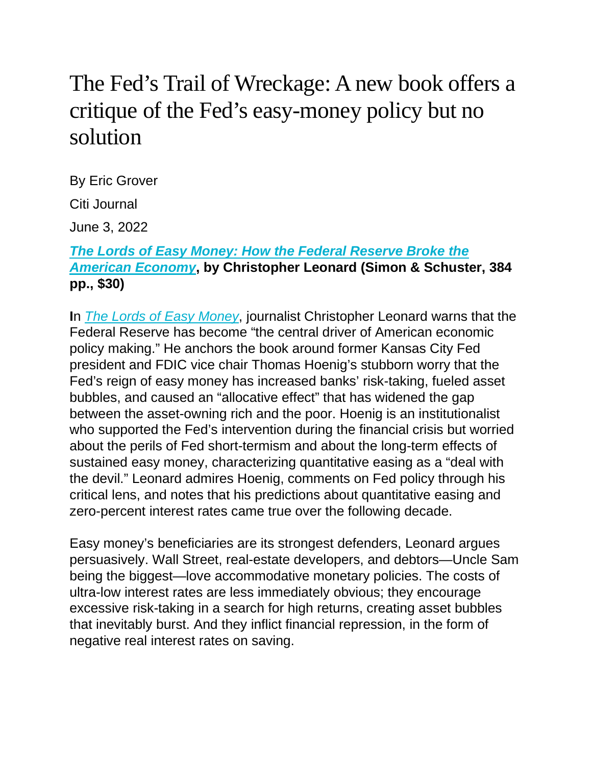## The Fed's Trail of Wreckage: A new book offers a critique of the Fed's easy-money policy but no solution

By Eric Grover

Citi Journal

June 3, 2022

## *The Lords of Easy Money: How the Federal [Reserve](https://www.amazon.com/Lords-Easy-Money-Federal-American/dp/1982166630) Broke the [American](https://www.amazon.com/Lords-Easy-Money-Federal-American/dp/1982166630) Economy***, by Christopher Leonard (Simon & Schuster, 384 pp., \$30)**

**I**n *The Lords of Easy [Money](https://smile.amazon.com/Lords-Easy-Money-Federal-American/dp/1982166630/)*, journalist Christopher Leonard warns that the Federal Reserve has become "the central driver of American economic policy making." He anchors the book around former Kansas City Fed president and FDIC vice chair Thomas Hoenig's stubborn worry that the Fed's reign of easy money has increased banks' risk-taking, fueled asset bubbles, and caused an "allocative effect" that has widened the gap between the asset-owning rich and the poor. Hoenig is an institutionalist who supported the Fed's intervention during the financial crisis but worried about the perils of Fed short-termism and about the long-term effects of sustained easy money, characterizing quantitative easing as a "deal with the devil." Leonard admires Hoenig, comments on Fed policy through his critical lens, and notes that his predictions about quantitative easing and zero-percent interest rates came true over the following decade.

Easy money's beneficiaries are its strongest defenders, Leonard argues persuasively. Wall Street, real-estate developers, and debtors—Uncle Sam being the biggest—love accommodative monetary policies. The costs of ultra-low interest rates are less immediately obvious; they encourage excessive risk-taking in a search for high returns, creating asset bubbles that inevitably burst. And they inflict financial repression, in the form of negative real interest rates on saving.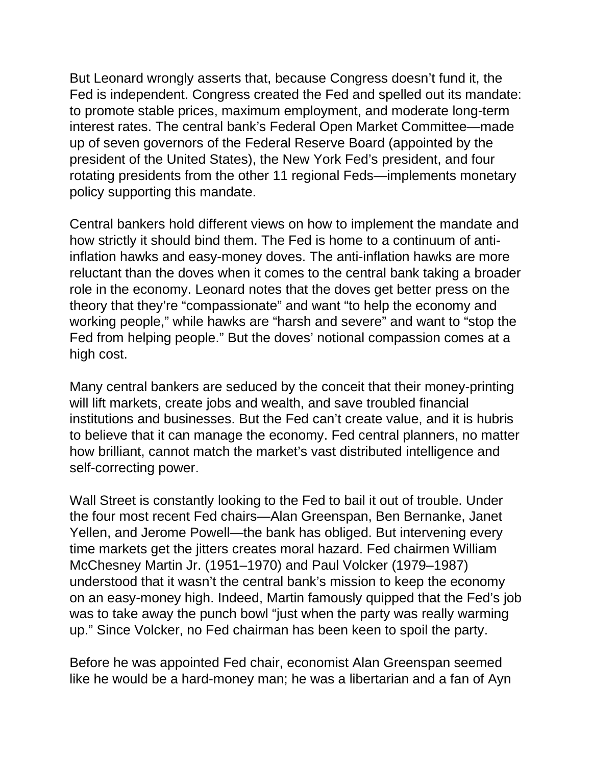But Leonard wrongly asserts that, because Congress doesn't fund it, the Fed is independent. Congress created the Fed and spelled out its mandate: to promote stable prices, maximum employment, and moderate long-term interest rates. The central bank's Federal Open Market Committee—made up of seven governors of the Federal Reserve Board (appointed by the president of the United States), the New York Fed's president, and four rotating presidents from the other 11 regional Feds—implements monetary policy supporting this mandate.

Central bankers hold different views on how to implement the mandate and how strictly it should bind them. The Fed is home to a continuum of antiinflation hawks and easy-money doves. The anti-inflation hawks are more reluctant than the doves when it comes to the central bank taking a broader role in the economy. Leonard notes that the doves get better press on the theory that they're "compassionate" and want "to help the economy and working people," while hawks are "harsh and severe" and want to "stop the Fed from helping people." But the doves' notional compassion comes at a high cost.

Many central bankers are seduced by the conceit that their money-printing will lift markets, create jobs and wealth, and save troubled financial institutions and businesses. But the Fed can't create value, and it is hubris to believe that it can manage the economy. Fed central planners, no matter how brilliant, cannot match the market's vast distributed intelligence and self-correcting power.

Wall Street is constantly looking to the Fed to bail it out of trouble. Under the four most recent Fed chairs—Alan Greenspan, Ben Bernanke, Janet Yellen, and Jerome Powell—the bank has obliged. But intervening every time markets get the jitters creates moral hazard. Fed chairmen William McChesney Martin Jr. (1951–1970) and Paul Volcker (1979–1987) understood that it wasn't the central bank's mission to keep the economy on an easy-money high. Indeed, Martin famously quipped that the Fed's job was to take away the punch bowl "just when the party was really warming up." Since Volcker, no Fed chairman has been keen to spoil the party.

Before he was appointed Fed chair, economist Alan Greenspan seemed like he would be a hard-money man; he was a libertarian and a fan of Ayn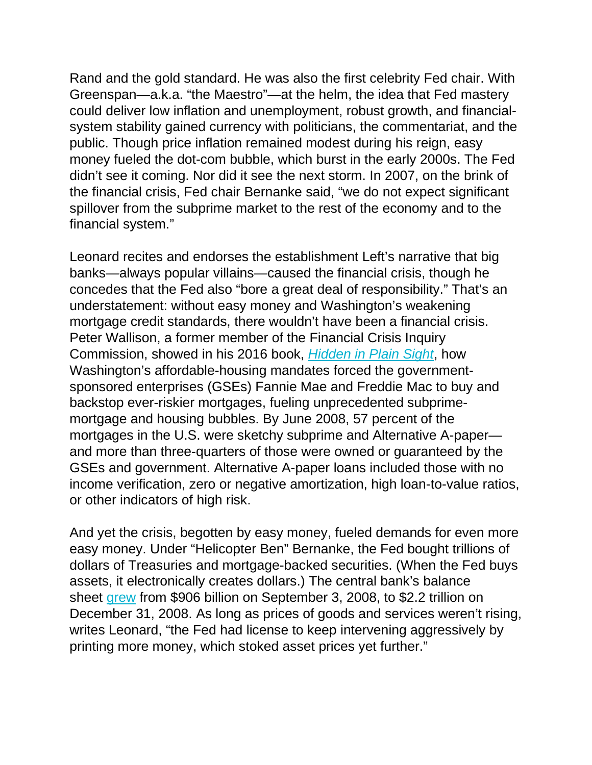Rand and the gold standard. He was also the first celebrity Fed chair. With Greenspan—a.k.a. "the Maestro"—at the helm, the idea that Fed mastery could deliver low inflation and unemployment, robust growth, and financialsystem stability gained currency with politicians, the commentariat, and the public. Though price inflation remained modest during his reign, easy money fueled the dot-com bubble, which burst in the early 2000s. The Fed didn't see it coming. Nor did it see the next storm. In 2007, on the brink of the financial crisis, Fed chair Bernanke said, "we do not expect significant spillover from the subprime market to the rest of the economy and to the financial system."

Leonard recites and endorses the establishment Left's narrative that big banks—always popular villains—caused the financial crisis, though he concedes that the Fed also "bore a great deal of responsibility." That's an understatement: without easy money and Washington's weakening mortgage credit standards, there wouldn't have been a financial crisis. Peter Wallison, a former member of the Financial Crisis Inquiry Commission, showed in his 2016 book, *[Hidden](https://smile.amazon.com/Hidden-Plain-Sight-Really-Financial/dp/1594038651/) in Plain Sight*, how Washington's affordable-housing mandates forced the governmentsponsored enterprises (GSEs) Fannie Mae and Freddie Mac to buy and backstop ever-riskier mortgages, fueling unprecedented subprimemortgage and housing bubbles. By June 2008, 57 percent of the mortgages in the U.S. were sketchy subprime and Alternative A-paper and more than three-quarters of those were owned or guaranteed by the GSEs and government. Alternative A-paper loans included those with no income verification, zero or negative amortization, high loan-to-value ratios, or other indicators of high risk.

And yet the crisis, begotten by easy money, fueled demands for even more easy money. Under "Helicopter Ben" Bernanke, the Fed bought trillions of dollars of Treasuries and mortgage-backed securities. (When the Fed buys assets, it electronically creates dollars.) The central bank's balance sheet [grew](https://fred.stlouisfed.org/series/WALCL) from \$906 billion on September 3, 2008, to \$2.2 trillion on December 31, 2008. As long as prices of goods and services weren't rising, writes Leonard, "the Fed had license to keep intervening aggressively by printing more money, which stoked asset prices yet further."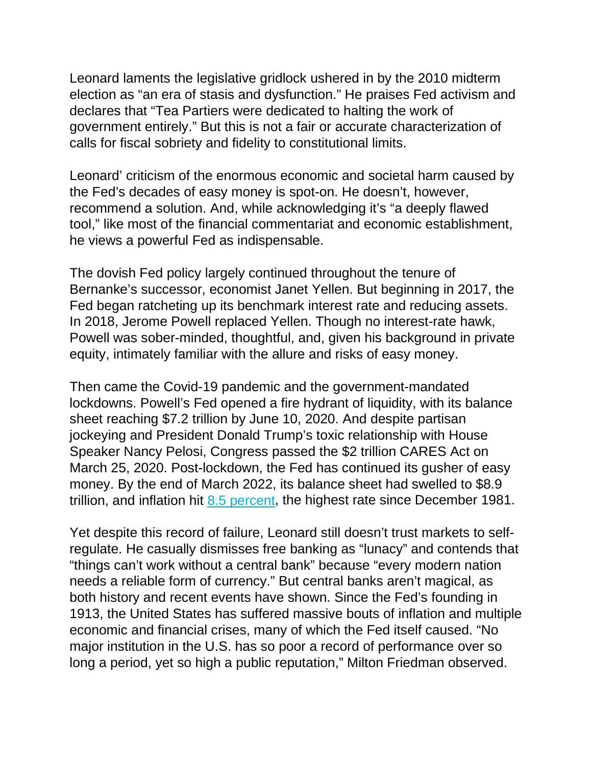Leonard laments the legislative gridlock ushered in by the 2010 midterm election as "an era of stasis and dysfunction." He praises Fed activism and declares that "Tea Partiers were dedicated to halting the work of government entirely." But this is not a fair or accurate characterization of calls for fiscal sobriety and fidelity to constitutional limits.

Leonard' criticism of the enormous economic and societal harm caused by the Fed's decades of easy money is spot-on. He doesn't, however, recommend a solution. And, while acknowledging it's "a deeply flawed tool," like most of the financial commentariat and economic establishment, he views a powerful Fed as indispensable.

The dovish Fed policy largely continued throughout the tenure of Bernanke's successor, economist Janet Yellen. But beginning in 2017, the Fed began ratcheting up its benchmark interest rate and reducing assets. In 2018, Jerome Powell replaced Yellen. Though no interest-rate hawk, Powell was sober-minded, thoughtful, and, given his background in private equity, intimately familiar with the allure and risks of easy money.

Then came the Covid-19 pandemic and the government-mandated lockdowns. Powell's Fed opened a fire hydrant of liquidity, with its balance sheet reaching \$7.2 trillion by June 10, 2020. And despite partisan jockeying and President Donald Trump's toxic relationship with House Speaker Nancy Pelosi, Congress passed the \$2 trillion CARES Act on March 25, 2020. Post-lockdown, the Fed has continued its gusher of easy money. By the end of March 2022, its balance sheet had swelled to \$8.9 trillion, and inflation hit 8.5 [percent,](https://www.bls.gov/news.release/cpi.nr0.htm) the highest rate since December 1981.

Yet despite this record of failure, Leonard still doesn't trust markets to selfregulate. He casually dismisses free banking as "lunacy" and contends that "things can't work without a central bank" because "every modern nation needs a reliable form of currency." But central banks aren't magical, as both history and recent events have shown. Since the Fed's founding in 1913, the United States has suffered massive bouts of inflation and multiple economic and financial crises, many of which the Fed itself caused. "No major institution in the U.S. has so poor a record of performance over so long a period, yet so high a public reputation," Milton Friedman observed.